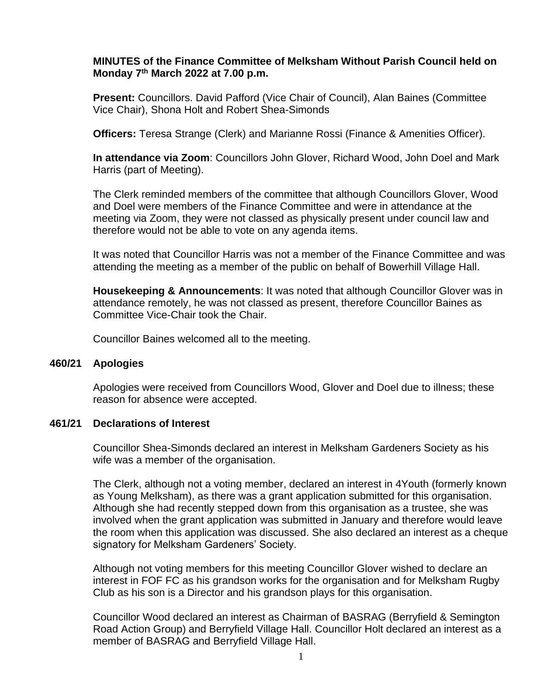## **MINUTES of the Finance Committee of Melksham Without Parish Council held on Monday 7 th March 2022 at 7.00 p.m.**

**Present:** Councillors. David Pafford (Vice Chair of Council), Alan Baines (Committee Vice Chair), Shona Holt and Robert Shea-Simonds

**Officers:** Teresa Strange (Clerk) and Marianne Rossi (Finance & Amenities Officer).

**In attendance via Zoom**: Councillors John Glover, Richard Wood, John Doel and Mark Harris (part of Meeting).

The Clerk reminded members of the committee that although Councillors Glover, Wood and Doel were members of the Finance Committee and were in attendance at the meeting via Zoom, they were not classed as physically present under council law and therefore would not be able to vote on any agenda items.

It was noted that Councillor Harris was not a member of the Finance Committee and was attending the meeting as a member of the public on behalf of Bowerhill Village Hall.

**Housekeeping & Announcements**: It was noted that although Councillor Glover was in attendance remotely, he was not classed as present, therefore Councillor Baines as Committee Vice-Chair took the Chair.

Councillor Baines welcomed all to the meeting.

#### **460/21 Apologies**

Apologies were received from Councillors Wood, Glover and Doel due to illness; these reason for absence were accepted.

### **461/21 Declarations of Interest**

Councillor Shea-Simonds declared an interest in Melksham Gardeners Society as his wife was a member of the organisation.

The Clerk, although not a voting member, declared an interest in 4Youth (formerly known as Young Melksham), as there was a grant application submitted for this organisation. Although she had recently stepped down from this organisation as a trustee, she was involved when the grant application was submitted in January and therefore would leave the room when this application was discussed. She also declared an interest as a cheque signatory for Melksham Gardeners' Society.

Although not voting members for this meeting Councillor Glover wished to declare an interest in FOF FC as his grandson works for the organisation and for Melksham Rugby Club as his son is a Director and his grandson plays for this organisation.

Councillor Wood declared an interest as Chairman of BASRAG (Berryfield & Semington Road Action Group) and Berryfield Village Hall. Councillor Holt declared an interest as a member of BASRAG and Berryfield Village Hall.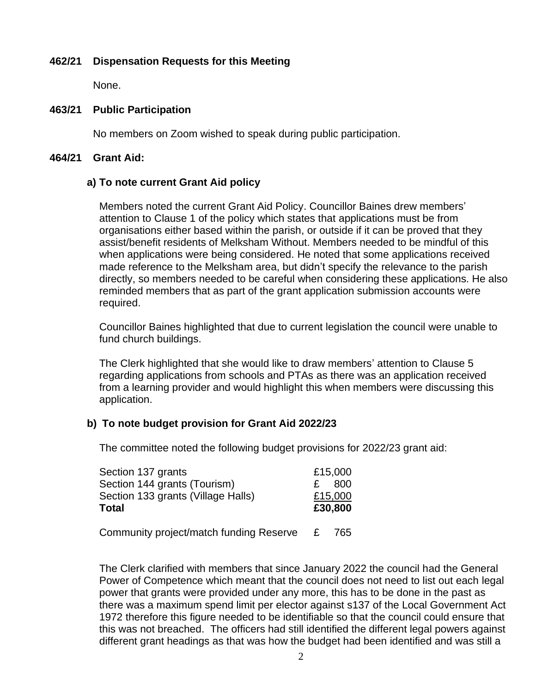### **462/21 Dispensation Requests for this Meeting**

None.

## **463/21 Public Participation**

No members on Zoom wished to speak during public participation.

### **464/21 Grant Aid:**

# **a) To note current Grant Aid policy**

Members noted the current Grant Aid Policy. Councillor Baines drew members' attention to Clause 1 of the policy which states that applications must be from organisations either based within the parish, or outside if it can be proved that they assist/benefit residents of Melksham Without. Members needed to be mindful of this when applications were being considered. He noted that some applications received made reference to the Melksham area, but didn't specify the relevance to the parish directly, so members needed to be careful when considering these applications. He also reminded members that as part of the grant application submission accounts were required.

Councillor Baines highlighted that due to current legislation the council were unable to fund church buildings.

The Clerk highlighted that she would like to draw members' attention to Clause 5 regarding applications from schools and PTAs as there was an application received from a learning provider and would highlight this when members were discussing this application.

### **b) To note budget provision for Grant Aid 2022/23**

The committee noted the following budget provisions for 2022/23 grant aid:

| Section 137 grants                      |   | £15,000 |
|-----------------------------------------|---|---------|
| Section 144 grants (Tourism)            |   | 800     |
| Section 133 grants (Village Halls)      |   | £15,000 |
| <b>Total</b>                            |   | £30,800 |
|                                         |   |         |
| Community project/match funding Reserve | E | 765     |

The Clerk clarified with members that since January 2022 the council had the General Power of Competence which meant that the council does not need to list out each legal power that grants were provided under any more, this has to be done in the past as there was a maximum spend limit per elector against s137 of the Local Government Act 1972 therefore this figure needed to be identifiable so that the council could ensure that this was not breached. The officers had still identified the different legal powers against different grant headings as that was how the budget had been identified and was still a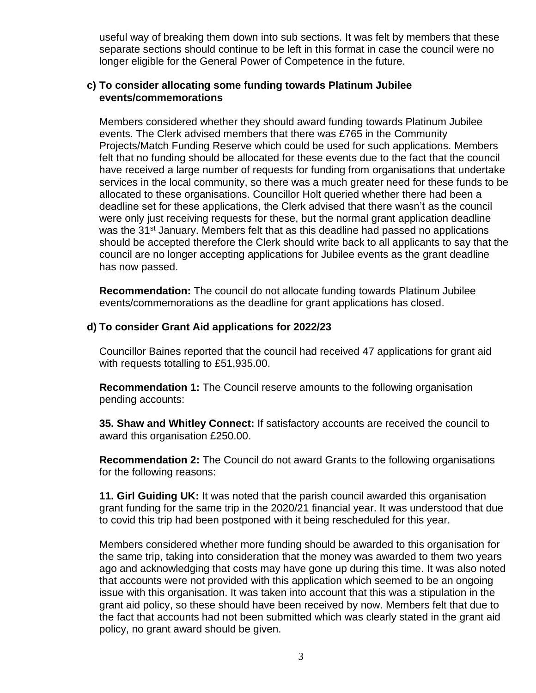useful way of breaking them down into sub sections. It was felt by members that these separate sections should continue to be left in this format in case the council were no longer eligible for the General Power of Competence in the future.

### **c) To consider allocating some funding towards Platinum Jubilee events/commemorations**

Members considered whether they should award funding towards Platinum Jubilee events. The Clerk advised members that there was £765 in the Community Projects/Match Funding Reserve which could be used for such applications. Members felt that no funding should be allocated for these events due to the fact that the council have received a large number of requests for funding from organisations that undertake services in the local community, so there was a much greater need for these funds to be allocated to these organisations. Councillor Holt queried whether there had been a deadline set for these applications, the Clerk advised that there wasn't as the council were only just receiving requests for these, but the normal grant application deadline was the 31<sup>st</sup> January. Members felt that as this deadline had passed no applications should be accepted therefore the Clerk should write back to all applicants to say that the council are no longer accepting applications for Jubilee events as the grant deadline has now passed.

**Recommendation:** The council do not allocate funding towards Platinum Jubilee events/commemorations as the deadline for grant applications has closed.

# **d) To consider Grant Aid applications for 2022/23**

Councillor Baines reported that the council had received 47 applications for grant aid with requests totalling to £51,935.00.

**Recommendation 1:** The Council reserve amounts to the following organisation pending accounts:

**35. Shaw and Whitley Connect:** If satisfactory accounts are received the council to award this organisation £250.00.

**Recommendation 2:** The Council do not award Grants to the following organisations for the following reasons:

**11. Girl Guiding UK:** It was noted that the parish council awarded this organisation grant funding for the same trip in the 2020/21 financial year. It was understood that due to covid this trip had been postponed with it being rescheduled for this year.

Members considered whether more funding should be awarded to this organisation for the same trip, taking into consideration that the money was awarded to them two years ago and acknowledging that costs may have gone up during this time. It was also noted that accounts were not provided with this application which seemed to be an ongoing issue with this organisation. It was taken into account that this was a stipulation in the grant aid policy, so these should have been received by now. Members felt that due to the fact that accounts had not been submitted which was clearly stated in the grant aid policy, no grant award should be given.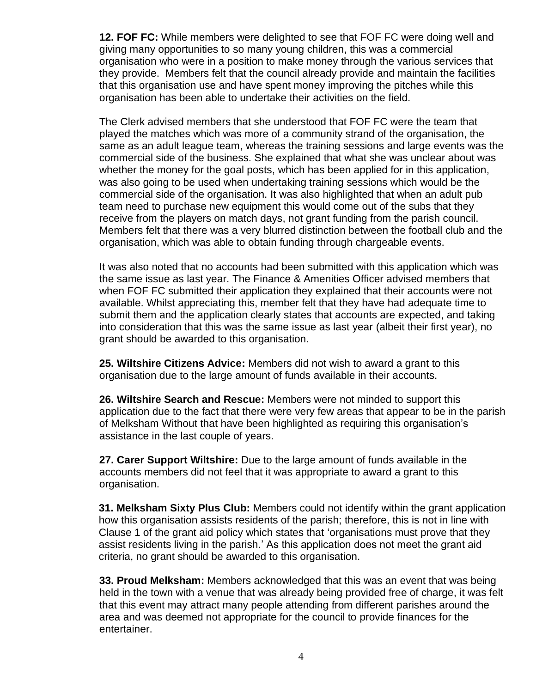**12. FOF FC:** While members were delighted to see that FOF FC were doing well and giving many opportunities to so many young children, this was a commercial organisation who were in a position to make money through the various services that they provide. Members felt that the council already provide and maintain the facilities that this organisation use and have spent money improving the pitches while this organisation has been able to undertake their activities on the field.

The Clerk advised members that she understood that FOF FC were the team that played the matches which was more of a community strand of the organisation, the same as an adult league team, whereas the training sessions and large events was the commercial side of the business. She explained that what she was unclear about was whether the money for the goal posts, which has been applied for in this application, was also going to be used when undertaking training sessions which would be the commercial side of the organisation. It was also highlighted that when an adult pub team need to purchase new equipment this would come out of the subs that they receive from the players on match days, not grant funding from the parish council. Members felt that there was a very blurred distinction between the football club and the organisation, which was able to obtain funding through chargeable events.

It was also noted that no accounts had been submitted with this application which was the same issue as last year. The Finance & Amenities Officer advised members that when FOF FC submitted their application they explained that their accounts were not available. Whilst appreciating this, member felt that they have had adequate time to submit them and the application clearly states that accounts are expected, and taking into consideration that this was the same issue as last year (albeit their first year), no grant should be awarded to this organisation.

**25. Wiltshire Citizens Advice:** Members did not wish to award a grant to this organisation due to the large amount of funds available in their accounts.

**26. Wiltshire Search and Rescue:** Members were not minded to support this application due to the fact that there were very few areas that appear to be in the parish of Melksham Without that have been highlighted as requiring this organisation's assistance in the last couple of years.

**27. Carer Support Wiltshire:** Due to the large amount of funds available in the accounts members did not feel that it was appropriate to award a grant to this organisation.

**31. Melksham Sixty Plus Club:** Members could not identify within the grant application how this organisation assists residents of the parish; therefore, this is not in line with Clause 1 of the grant aid policy which states that 'organisations must prove that they assist residents living in the parish.' As this application does not meet the grant aid criteria, no grant should be awarded to this organisation.

**33. Proud Melksham:** Members acknowledged that this was an event that was being held in the town with a venue that was already being provided free of charge, it was felt that this event may attract many people attending from different parishes around the area and was deemed not appropriate for the council to provide finances for the entertainer.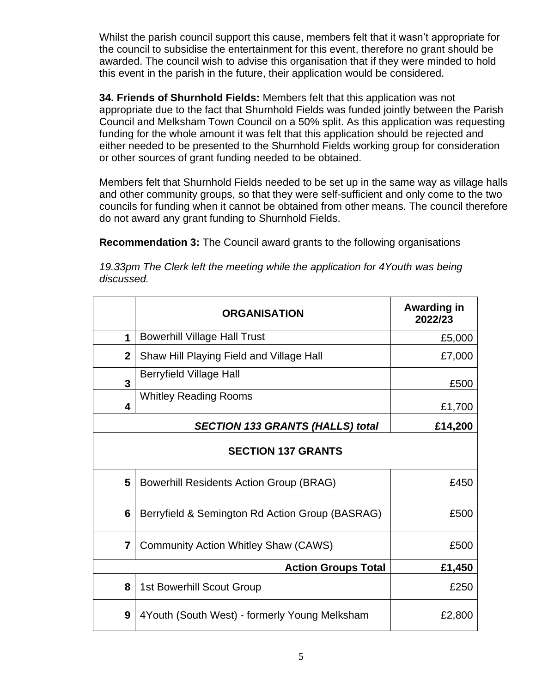Whilst the parish council support this cause, members felt that it wasn't appropriate for the council to subsidise the entertainment for this event, therefore no grant should be awarded. The council wish to advise this organisation that if they were minded to hold this event in the parish in the future, their application would be considered.

**34. Friends of Shurnhold Fields:** Members felt that this application was not appropriate due to the fact that Shurnhold Fields was funded jointly between the Parish Council and Melksham Town Council on a 50% split. As this application was requesting funding for the whole amount it was felt that this application should be rejected and either needed to be presented to the Shurnhold Fields working group for consideration or other sources of grant funding needed to be obtained.

Members felt that Shurnhold Fields needed to be set up in the same way as village halls and other community groups, so that they were self-sufficient and only come to the two councils for funding when it cannot be obtained from other means. The council therefore do not award any grant funding to Shurnhold Fields.

**Recommendation 3:** The Council award grants to the following organisations

*19.33pm The Clerk left the meeting while the application for 4Youth was being discussed.* 

|                           | <b>ORGANISATION</b>                             | Awarding in<br>2022/23 |  |  |
|---------------------------|-------------------------------------------------|------------------------|--|--|
| 1                         | <b>Bowerhill Village Hall Trust</b>             | £5,000                 |  |  |
| $\mathbf{2}$              | Shaw Hill Playing Field and Village Hall        | £7,000                 |  |  |
| 3                         | <b>Berryfield Village Hall</b>                  | £500                   |  |  |
| 4                         | <b>Whitley Reading Rooms</b>                    | £1,700                 |  |  |
|                           | £14,200                                         |                        |  |  |
| <b>SECTION 137 GRANTS</b> |                                                 |                        |  |  |
| 5                         | <b>Bowerhill Residents Action Group (BRAG)</b>  | £450                   |  |  |
| 6                         | Berryfield & Semington Rd Action Group (BASRAG) | £500                   |  |  |
| $\overline{7}$            | <b>Community Action Whitley Shaw (CAWS)</b>     | £500                   |  |  |
|                           | £1,450                                          |                        |  |  |
| 8                         | <b>1st Bowerhill Scout Group</b>                | £250                   |  |  |
| 9                         | 4Youth (South West) - formerly Young Melksham   | £2,800                 |  |  |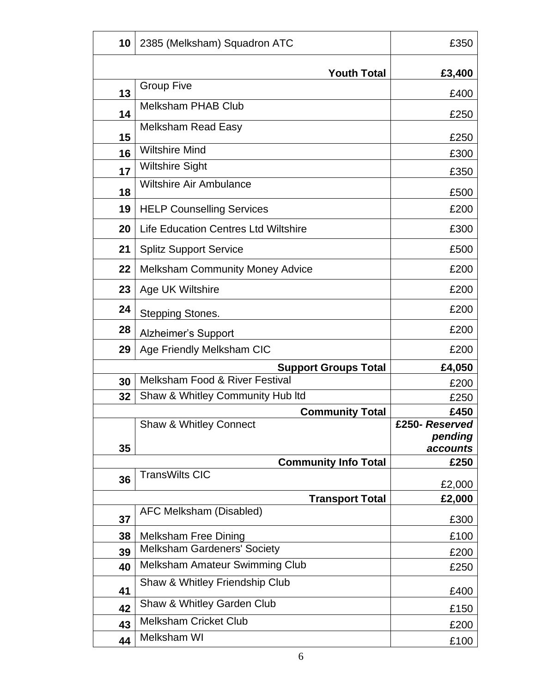| 10 | 2385 (Melksham) Squadron ATC                | £350                      |
|----|---------------------------------------------|---------------------------|
|    | <b>Youth Total</b>                          | £3,400                    |
|    | <b>Group Five</b>                           |                           |
| 13 | <b>Melksham PHAB Club</b>                   | £400                      |
| 14 |                                             | £250                      |
| 15 | <b>Melksham Read Easy</b>                   | £250                      |
| 16 | <b>Wiltshire Mind</b>                       | £300                      |
| 17 | <b>Wiltshire Sight</b>                      | £350                      |
| 18 | <b>Wiltshire Air Ambulance</b>              | £500                      |
| 19 | <b>HELP Counselling Services</b>            | £200                      |
| 20 | <b>Life Education Centres Ltd Wiltshire</b> | £300                      |
| 21 | <b>Splitz Support Service</b>               | £500                      |
| 22 | <b>Melksham Community Money Advice</b>      | £200                      |
| 23 | Age UK Wiltshire                            | £200                      |
| 24 | <b>Stepping Stones.</b>                     | £200                      |
| 28 | <b>Alzheimer's Support</b>                  | £200                      |
| 29 | Age Friendly Melksham CIC                   | £200                      |
|    | <b>Support Groups Total</b>                 | £4,050                    |
| 30 | <b>Melksham Food &amp; River Festival</b>   | £200                      |
| 32 | Shaw & Whitley Community Hub Itd            | £250                      |
|    | <b>Community Total</b>                      | £450                      |
|    | Shaw & Whitley Connect                      | £250- Reserved<br>pending |
| 35 |                                             | <i>accounts</i>           |
|    | <b>Community Info Total</b>                 | £250                      |
| 36 | <b>TransWilts CIC</b>                       | £2,000                    |
|    | <b>Transport Total</b>                      | £2,000                    |
| 37 | AFC Melksham (Disabled)                     | £300                      |
| 38 | <b>Melksham Free Dining</b>                 | £100                      |
| 39 | <b>Melksham Gardeners' Society</b>          | £200                      |
| 40 | <b>Melksham Amateur Swimming Club</b>       | £250                      |
| 41 | Shaw & Whitley Friendship Club              | £400                      |
| 42 | Shaw & Whitley Garden Club                  | £150                      |
| 43 | <b>Melksham Cricket Club</b>                | £200                      |
| 44 | Melksham WI                                 | £100                      |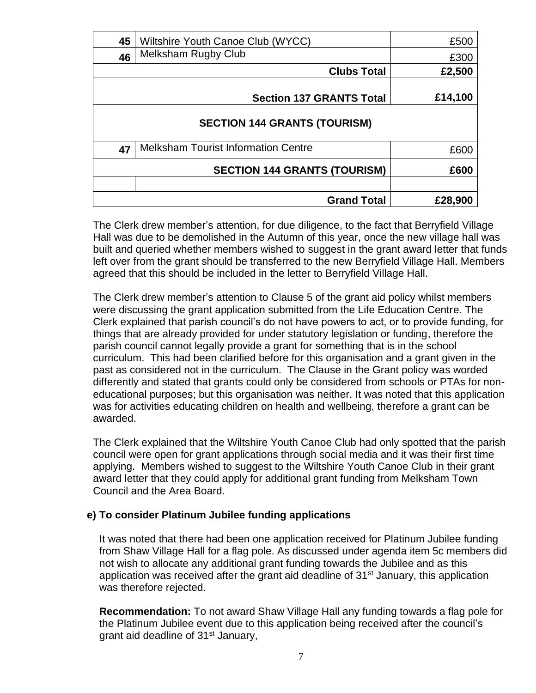| 45                                  | Wiltshire Youth Canoe Club (WYCC)          | £500    |  |  |
|-------------------------------------|--------------------------------------------|---------|--|--|
| 46                                  | <b>Melksham Rugby Club</b>                 | £300    |  |  |
|                                     | <b>Clubs Total</b>                         | £2,500  |  |  |
|                                     | <b>Section 137 GRANTS Total</b>            | £14,100 |  |  |
| <b>SECTION 144 GRANTS (TOURISM)</b> |                                            |         |  |  |
| 47                                  | <b>Melksham Tourist Information Centre</b> | £600    |  |  |
|                                     | <b>SECTION 144 GRANTS (TOURISM)</b>        | £600    |  |  |
|                                     |                                            |         |  |  |
|                                     | <b>Grand Total</b>                         | £28,900 |  |  |

The Clerk drew member's attention, for due diligence, to the fact that Berryfield Village Hall was due to be demolished in the Autumn of this year, once the new village hall was built and queried whether members wished to suggest in the grant award letter that funds left over from the grant should be transferred to the new Berryfield Village Hall. Members agreed that this should be included in the letter to Berryfield Village Hall.

The Clerk drew member's attention to Clause 5 of the grant aid policy whilst members were discussing the grant application submitted from the Life Education Centre. The Clerk explained that parish council's do not have powers to act, or to provide funding, for things that are already provided for under statutory legislation or funding, therefore the parish council cannot legally provide a grant for something that is in the school curriculum. This had been clarified before for this organisation and a grant given in the past as considered not in the curriculum. The Clause in the Grant policy was worded differently and stated that grants could only be considered from schools or PTAs for noneducational purposes; but this organisation was neither. It was noted that this application was for activities educating children on health and wellbeing, therefore a grant can be awarded.

The Clerk explained that the Wiltshire Youth Canoe Club had only spotted that the parish council were open for grant applications through social media and it was their first time applying. Members wished to suggest to the Wiltshire Youth Canoe Club in their grant award letter that they could apply for additional grant funding from Melksham Town Council and the Area Board.

### **e) To consider Platinum Jubilee funding applications**

It was noted that there had been one application received for Platinum Jubilee funding from Shaw Village Hall for a flag pole. As discussed under agenda item 5c members did not wish to allocate any additional grant funding towards the Jubilee and as this application was received after the grant aid deadline of 31<sup>st</sup> January, this application was therefore rejected.

**Recommendation:** To not award Shaw Village Hall any funding towards a flag pole for the Platinum Jubilee event due to this application being received after the council's grant aid deadline of 31<sup>st</sup> January,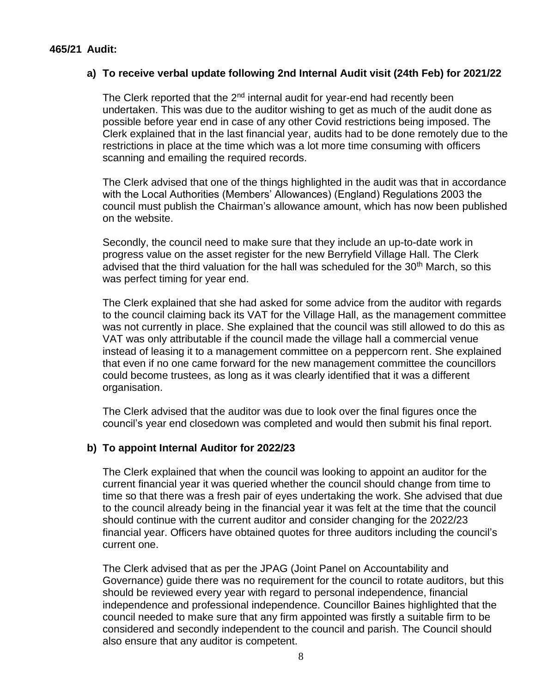### **465/21 Audit:**

### **a) To receive verbal update following 2nd Internal Audit visit (24th Feb) for 2021/22**

The Clerk reported that the 2<sup>nd</sup> internal audit for year-end had recently been undertaken. This was due to the auditor wishing to get as much of the audit done as possible before year end in case of any other Covid restrictions being imposed. The Clerk explained that in the last financial year, audits had to be done remotely due to the restrictions in place at the time which was a lot more time consuming with officers scanning and emailing the required records.

The Clerk advised that one of the things highlighted in the audit was that in accordance with the Local Authorities (Members' Allowances) (England) Regulations 2003 the council must publish the Chairman's allowance amount, which has now been published on the website.

Secondly, the council need to make sure that they include an up-to-date work in progress value on the asset register for the new Berryfield Village Hall. The Clerk advised that the third valuation for the hall was scheduled for the 30<sup>th</sup> March, so this was perfect timing for year end.

The Clerk explained that she had asked for some advice from the auditor with regards to the council claiming back its VAT for the Village Hall, as the management committee was not currently in place. She explained that the council was still allowed to do this as VAT was only attributable if the council made the village hall a commercial venue instead of leasing it to a management committee on a peppercorn rent. She explained that even if no one came forward for the new management committee the councillors could become trustees, as long as it was clearly identified that it was a different organisation.

The Clerk advised that the auditor was due to look over the final figures once the council's year end closedown was completed and would then submit his final report.

### **b) To appoint Internal Auditor for 2022/23**

The Clerk explained that when the council was looking to appoint an auditor for the current financial year it was queried whether the council should change from time to time so that there was a fresh pair of eyes undertaking the work. She advised that due to the council already being in the financial year it was felt at the time that the council should continue with the current auditor and consider changing for the 2022/23 financial year. Officers have obtained quotes for three auditors including the council's current one.

The Clerk advised that as per the JPAG (Joint Panel on Accountability and Governance) guide there was no requirement for the council to rotate auditors, but this should be reviewed every year with regard to personal independence, financial independence and professional independence. Councillor Baines highlighted that the council needed to make sure that any firm appointed was firstly a suitable firm to be considered and secondly independent to the council and parish. The Council should also ensure that any auditor is competent.